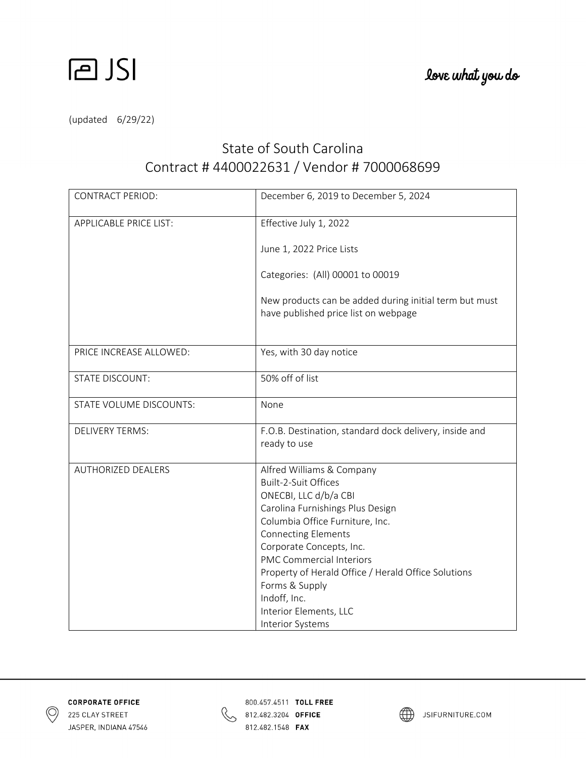

(updated 6/29/22)

## State of South Carolina Contract # 4400022631 / Vendor # 7000068699

| <b>CONTRACT PERIOD:</b>       | December 6, 2019 to December 5, 2024                                                           |
|-------------------------------|------------------------------------------------------------------------------------------------|
| <b>APPLICABLE PRICE LIST:</b> | Effective July 1, 2022                                                                         |
|                               | June 1, 2022 Price Lists                                                                       |
|                               | Categories: (All) 00001 to 00019                                                               |
|                               | New products can be added during initial term but must<br>have published price list on webpage |
| PRICE INCREASE ALLOWED:       | Yes, with 30 day notice                                                                        |
| <b>STATE DISCOUNT:</b>        | 50% off of list                                                                                |
| STATE VOLUME DISCOUNTS:       | None                                                                                           |
| <b>DELIVERY TERMS:</b>        | F.O.B. Destination, standard dock delivery, inside and<br>ready to use                         |
| <b>AUTHORIZED DEALERS</b>     | Alfred Williams & Company                                                                      |
|                               | <b>Built-2-Suit Offices</b>                                                                    |
|                               | ONECBI, LLC d/b/a CBI<br>Carolina Furnishings Plus Design                                      |
|                               | Columbia Office Furniture, Inc.                                                                |
|                               | <b>Connecting Elements</b>                                                                     |
|                               | Corporate Concepts, Inc.                                                                       |
|                               | <b>PMC Commercial Interiors</b>                                                                |
|                               | Property of Herald Office / Herald Office Solutions                                            |
|                               | Forms & Supply                                                                                 |
|                               | Indoff, Inc.                                                                                   |
|                               | Interior Elements, LLC                                                                         |
|                               | <b>Interior Systems</b>                                                                        |